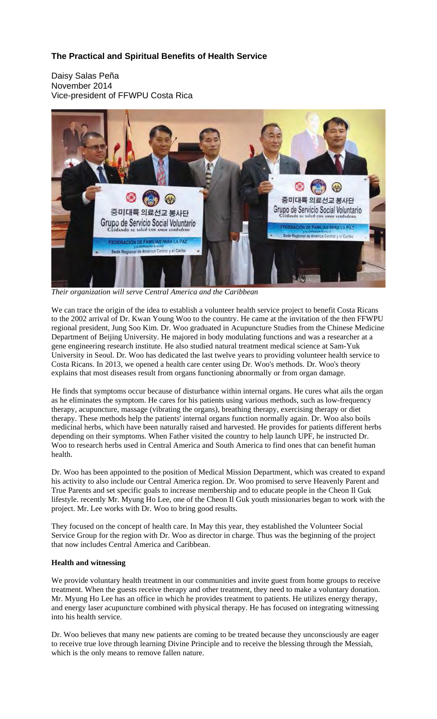# **The Practical and Spiritual Benefits of Health Service**

Daisy Salas Peña November 2014 Vice-president of FFWPU Costa Rica



*Their organization will serve Central America and the Caribbean* 

We can trace the origin of the idea to establish a volunteer health service project to benefit Costa Ricans to the 2002 arrival of Dr. Kwan Young Woo to the country. He came at the invitation of the then FFWPU regional president, Jung Soo Kim. Dr. Woo graduated in Acupuncture Studies from the Chinese Medicine Department of Beijing University. He majored in body modulating functions and was a researcher at a gene engineering research institute. He also studied natural treatment medical science at Sam-Yuk University in Seoul. Dr. Woo has dedicated the last twelve years to providing volunteer health service to Costa Ricans. In 2013, we opened a health care center using Dr. Woo's methods. Dr. Woo's theory explains that most diseases result from organs functioning abnormally or from organ damage.

He finds that symptoms occur because of disturbance within internal organs. He cures what ails the organ as he eliminates the symptom. He cares for his patients using various methods, such as low-frequency therapy, acupuncture, massage (vibrating the organs), breathing therapy, exercising therapy or diet therapy. These methods help the patients' internal organs function normally again. Dr. Woo also boils medicinal herbs, which have been naturally raised and harvested. He provides for patients different herbs depending on their symptoms. When Father visited the country to help launch UPF, he instructed Dr. Woo to research herbs used in Central America and South America to find ones that can benefit human health.

Dr. Woo has been appointed to the position of Medical Mission Department, which was created to expand his activity to also include our Central America region. Dr. Woo promised to serve Heavenly Parent and True Parents and set specific goals to increase membership and to educate people in the Cheon Il Guk lifestyle. recently Mr. Myung Ho Lee, one of the Cheon Il Guk youth missionaries began to work with the project. Mr. Lee works with Dr. Woo to bring good results.

They focused on the concept of health care. In May this year, they established the Volunteer Social Service Group for the region with Dr. Woo as director in charge. Thus was the beginning of the project that now includes Central America and Caribbean.

## **Health and witnessing**

We provide voluntary health treatment in our communities and invite guest from home groups to receive treatment. When the guests receive therapy and other treatment, they need to make a voluntary donation. Mr. Myung Ho Lee has an office in which he provides treatment to patients. He utilizes energy therapy, and energy laser acupuncture combined with physical therapy. He has focused on integrating witnessing into his health service.

Dr. Woo believes that many new patients are coming to be treated because they unconsciously are eager to receive true love through learning Divine Principle and to receive the blessing through the Messiah, which is the only means to remove fallen nature.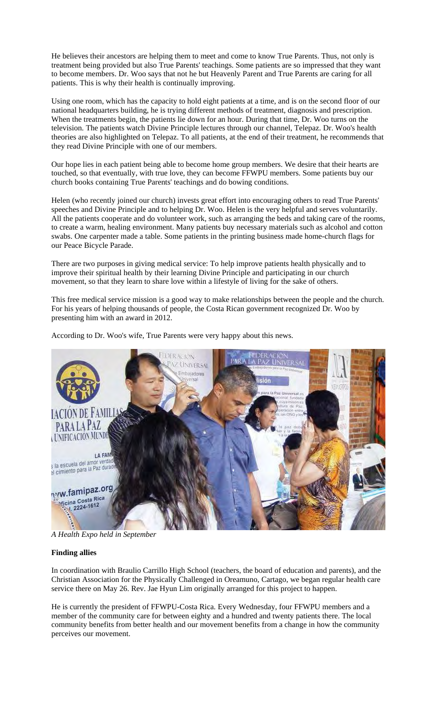He believes their ancestors are helping them to meet and come to know True Parents. Thus, not only is treatment being provided but also True Parents' teachings. Some patients are so impressed that they want to become members. Dr. Woo says that not he but Heavenly Parent and True Parents are caring for all patients. This is why their health is continually improving.

Using one room, which has the capacity to hold eight patients at a time, and is on the second floor of our national headquarters building, he is trying different methods of treatment, diagnosis and prescription. When the treatments begin, the patients lie down for an hour. During that time, Dr. Woo turns on the television. The patients watch Divine Principle lectures through our channel, Telepaz. Dr. Woo's health theories are also highlighted on Telepaz. To all patients, at the end of their treatment, he recommends that they read Divine Principle with one of our members.

Our hope lies in each patient being able to become home group members. We desire that their hearts are touched, so that eventually, with true love, they can become FFWPU members. Some patients buy our church books containing True Parents' teachings and do bowing conditions.

Helen (who recently joined our church) invests great effort into encouraging others to read True Parents' speeches and Divine Principle and to helping Dr. Woo. Helen is the very helpful and serves voluntarily. All the patients cooperate and do volunteer work, such as arranging the beds and taking care of the rooms, to create a warm, healing environment. Many patients buy necessary materials such as alcohol and cotton swabs. One carpenter made a table. Some patients in the printing business made home-church flags for our Peace Bicycle Parade.

There are two purposes in giving medical service: To help improve patients health physically and to improve their spiritual health by their learning Divine Principle and participating in our church movement, so that they learn to share love within a lifestyle of living for the sake of others.

This free medical service mission is a good way to make relationships between the people and the church. For his years of helping thousands of people, the Costa Rican government recognized Dr. Woo by presenting him with an award in 2012.

According to Dr. Woo's wife, True Parents were very happy about this news.



*A Health Expo held in September* 

## **Finding allies**

In coordination with Braulio Carrillo High School (teachers, the board of education and parents), and the Christian Association for the Physically Challenged in Oreamuno, Cartago, we began regular health care service there on May 26. Rev. Jae Hyun Lim originally arranged for this project to happen.

He is currently the president of FFWPU-Costa Rica. Every Wednesday, four FFWPU members and a member of the community care for between eighty and a hundred and twenty patients there. The local community benefits from better health and our movement benefits from a change in how the community perceives our movement.